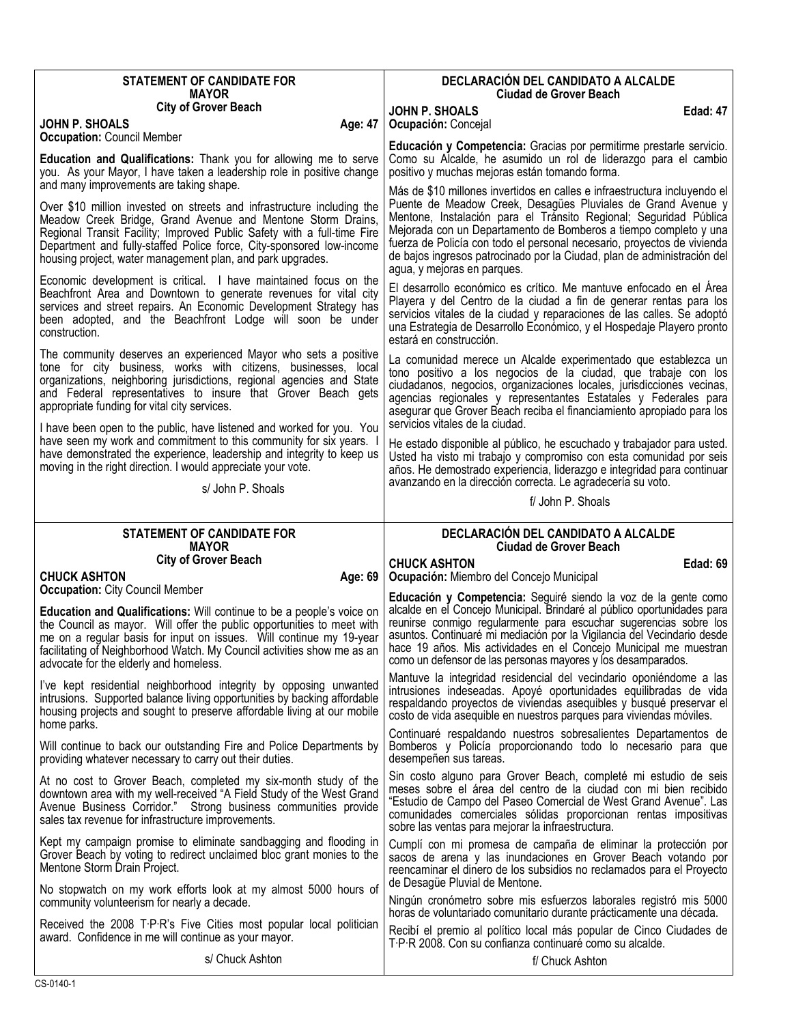| <b>STATEMENT OF CANDIDATE FOR</b><br><b>MAYOR</b>                                                                                                                                                                                                                                                                                                                                     | DECLARACIÓN DEL CANDIDATO A ALCALDE<br><b>Ciudad de Grover Beach</b>                                                                                                                                                                                                                                                                                                                                                                                                    |
|---------------------------------------------------------------------------------------------------------------------------------------------------------------------------------------------------------------------------------------------------------------------------------------------------------------------------------------------------------------------------------------|-------------------------------------------------------------------------------------------------------------------------------------------------------------------------------------------------------------------------------------------------------------------------------------------------------------------------------------------------------------------------------------------------------------------------------------------------------------------------|
| <b>City of Grover Beach</b><br>JOHN P. SHOALS<br>Age: 47                                                                                                                                                                                                                                                                                                                              | <b>JOHN P. SHOALS</b><br>Edad: 47<br>Ocupación: Concejal                                                                                                                                                                                                                                                                                                                                                                                                                |
| <b>Occupation: Council Member</b><br>Education and Qualifications: Thank you for allowing me to serve<br>you. As your Mayor, I have taken a leadership role in positive change<br>and many improvements are taking shape.                                                                                                                                                             | Educación y Competencia: Gracias por permitirme prestarle servicio.<br>Como su Alcalde, he asumido un rol de liderazgo para el cambio<br>positivo y muchas mejoras están tomando forma.                                                                                                                                                                                                                                                                                 |
| Over \$10 million invested on streets and infrastructure including the<br>Meadow Creek Bridge, Grand Avenue and Mentone Storm Drains,<br>Regional Transit Facility; Improved Public Safety with a full-time Fire<br>Department and fully-staffed Police force, City-sponsored low-income<br>housing project, water management plan, and park upgrades.                                | Más de \$10 millones invertidos en calles e infraestructura incluyendo el<br>Puente de Meadow Creek, Desagües Pluviales de Grand Avenue y<br>Mentone, Instalación para el Tránsito Regional; Seguridad Pública<br>Mejorada con un Departamento de Bomberos a tiempo completo y una<br>fuerza de Policía con todo el personal necesario, proyectos de vivienda<br>de bajos ingresos patrocinado por la Ciudad, plan de administración del<br>agua, y mejoras en parques. |
| Economic development is critical. I have maintained focus on the<br>Beachfront Area and Downtown to generate revenues for vital city<br>services and street repairs. An Economic Development Strategy has<br>been adopted, and the Beachfront Lodge will soon be under<br>construction.                                                                                               | El desarrollo económico es crítico. Me mantuve enfocado en el Área<br>Playera y del Centro de la ciudad a fin de generar rentas para los<br>servicios vitales de la ciudad y reparaciones de las calles. Se adoptó<br>una Estrategia de Desarrollo Económico, y el Hospedaje Playero pronto<br>estará en construcción.                                                                                                                                                  |
| The community deserves an experienced Mayor who sets a positive<br>tone for city business, works with citizens, businesses, local<br>organizations, neighboring jurisdictions, regional agencies and State<br>and Federal representatives to insure that Grover Beach gets<br>appropriate funding for vital city services.                                                            | La comunidad merece un Alcalde experimentado que establezca un<br>tono positivo a los negocios de la ciudad, que trabaje con los<br>ciudadanos, negocios, organizaciones locales, jurisdicciones vecinas,<br>agencias regionales y representantes Estatales y Federales para<br>asegurar que Grover Beach reciba el financiamiento apropiado para los                                                                                                                   |
| I have been open to the public, have listened and worked for you. You<br>have seen my work and commitment to this community for six years.<br>have demonstrated the experience, leadership and integrity to keep us<br>moving in the right direction. I would appreciate your vote.                                                                                                   | servicios vitales de la ciudad.<br>He estado disponible al público, he escuchado y trabajador para usted.<br>Usted ha visto mi trabajo y compromiso con esta comunidad por seis<br>años. He demostrado experiencia, liderazgo e integridad para continuar<br>avanzando en la dirección correcta. Le agradecería su voto.                                                                                                                                                |
| s/ John P. Shoals                                                                                                                                                                                                                                                                                                                                                                     | f/ John P. Shoals                                                                                                                                                                                                                                                                                                                                                                                                                                                       |
|                                                                                                                                                                                                                                                                                                                                                                                       |                                                                                                                                                                                                                                                                                                                                                                                                                                                                         |
| <b>STATEMENT OF CANDIDATE FOR</b><br><b>MAYOR</b>                                                                                                                                                                                                                                                                                                                                     | DECLARACIÓN DEL CANDIDATO A ALCALDE                                                                                                                                                                                                                                                                                                                                                                                                                                     |
| <b>City of Grover Beach</b>                                                                                                                                                                                                                                                                                                                                                           | Ciudad de Grover Beach<br><b>CHUCK ASHTON</b><br>Edad: 69                                                                                                                                                                                                                                                                                                                                                                                                               |
| <b>CHUCK ASHTON</b><br>Age: 69                                                                                                                                                                                                                                                                                                                                                        | Ocupación: Miembro del Concejo Municipal                                                                                                                                                                                                                                                                                                                                                                                                                                |
| <b>Occupation: City Council Member</b><br>Education and Qualifications: Will continue to be a people's voice on<br>the Council as mayor. Will offer the public opportunities to meet with<br>me on a regular basis for input on issues. Will continue my 19-year<br>facilitating of Neighborhood Watch. My Council activities show me as an<br>advocate for the elderly and homeless. | Educación y Competencia: Seguiré siendo la voz de la gente como<br>alcalde en el Concejo Municipal. Brindaré al público oportunidades para<br>reunirse conmigo regularmente para escuchar sugerencias sobre los<br>asuntos. Continuaré mi mediación por la Vigilancia del Vecindario desde<br>hace 19 años. Mis actividades en el Concejo Municipal me muestran<br>como un defensor de las personas mayores y los desamparados.                                         |
| I've kept residential neighborhood integrity by opposing unwanted<br>intrusions. Supported balance living opportunities by backing affordable<br>housing projects and sought to preserve affordable living at our mobile                                                                                                                                                              | Mantuve la integridad residencial del vecindario oponiéndome a las<br>intrusiones indeseadas. Apoyé oportunidades equilibradas de vida<br>respaldando proyectos de viviendas asequibles y busqué preservar el<br>costo de vida asequible en nuestros parques para viviendas móviles.                                                                                                                                                                                    |
| home parks.<br>Will continue to back our outstanding Fire and Police Departments by<br>providing whatever necessary to carry out their duties.                                                                                                                                                                                                                                        | Continuaré respaldando nuestros sobresalientes Departamentos de<br>Bomberos y Policía proporcionando todo lo necesario para que<br>desempeñen sus tareas.                                                                                                                                                                                                                                                                                                               |
| At no cost to Grover Beach, completed my six-month study of the<br>downtown area with my well-received "A Field Study of the West Grand<br>Avenue Business Corridor." Strong business communities provide<br>sales tax revenue for infrastructure improvements.                                                                                                                       | Sin costo alguno para Grover Beach, completé mi estudio de seis<br>meses sobre el área del centro de la ciudad con mi bien recibido<br>"Estudio de Campo del Paseo Comercial de West Grand Avenue". Las<br>comunidades comerciales sólidas proporcionan rentas impositivas<br>sobre las ventas para mejorar la infraestructura.                                                                                                                                         |
| Kept my campaign promise to eliminate sandbagging and flooding in<br>Grover Beach by voting to redirect unclaimed bloc grant monies to the<br>Mentone Storm Drain Project.                                                                                                                                                                                                            | Cumplí con mi promesa de campaña de eliminar la protección por<br>sacos de arena y las inundaciones en Grover Beach votando por<br>reencaminar el dinero de los subsidios no reclamados para el Proyecto                                                                                                                                                                                                                                                                |
| No stopwatch on my work efforts look at my almost 5000 hours of<br>community volunteerism for nearly a decade.                                                                                                                                                                                                                                                                        | de Desagüe Pluvial de Mentone.<br>Ningún cronómetro sobre mis esfuerzos laborales registró mis 5000                                                                                                                                                                                                                                                                                                                                                                     |
| Received the 2008 T.P.R's Five Cities most popular local politician<br>award. Confidence in me will continue as your mayor.                                                                                                                                                                                                                                                           | horas de voluntariado comunitario durante prácticamente una década.<br>Recibí el premio al político local más popular de Cinco Ciudades de<br>T.P.R 2008. Con su confianza continuaré como su alcalde.                                                                                                                                                                                                                                                                  |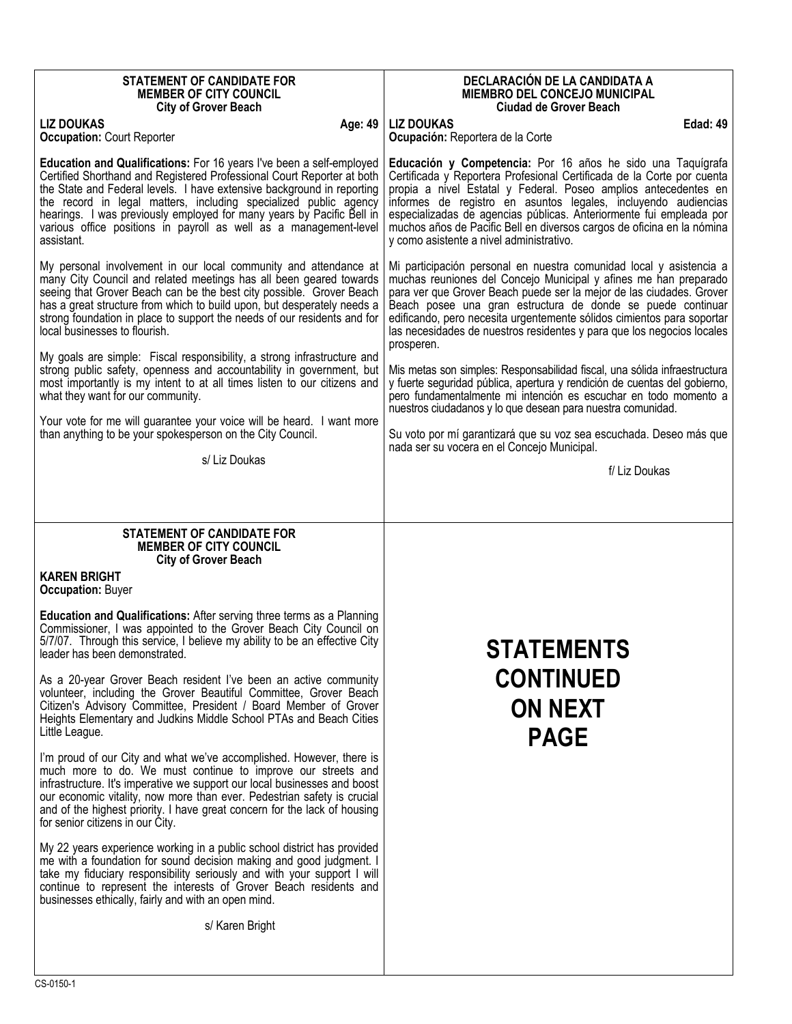| <b>STATEMENT OF CANDIDATE FOR</b><br><b>MEMBER OF CITY COUNCIL</b><br><b>City of Grover Beach</b>                                                                                                                                                                                                                                                                                                                                                                                                                                                                                                                                                                          | DECLARACIÓN DE LA CANDIDATA A<br><b>MIEMBRO DEL CONCEJO MUNICIPAL</b><br><b>Ciudad de Grover Beach</b>                                                                                                                                                                                                                                                                                                                                                                                                                                                                                                                                                                         |
|----------------------------------------------------------------------------------------------------------------------------------------------------------------------------------------------------------------------------------------------------------------------------------------------------------------------------------------------------------------------------------------------------------------------------------------------------------------------------------------------------------------------------------------------------------------------------------------------------------------------------------------------------------------------------|--------------------------------------------------------------------------------------------------------------------------------------------------------------------------------------------------------------------------------------------------------------------------------------------------------------------------------------------------------------------------------------------------------------------------------------------------------------------------------------------------------------------------------------------------------------------------------------------------------------------------------------------------------------------------------|
| <b>LIZ DOUKAS</b><br>Age: 49<br><b>Occupation: Court Reporter</b>                                                                                                                                                                                                                                                                                                                                                                                                                                                                                                                                                                                                          | <b>LIZ DOUKAS</b><br><b>Edad: 49</b><br>Ocupación: Reportera de la Corte                                                                                                                                                                                                                                                                                                                                                                                                                                                                                                                                                                                                       |
| Education and Qualifications: For 16 years I've been a self-employed<br>Certified Shorthand and Registered Professional Court Reporter at both<br>the State and Federal levels. I have extensive background in reporting<br>the record in legal matters, including specialized public agency<br>hearings. I was previously employed for many years by Pacific Bell in<br>various office positions in payroll as well as a management-level<br>assistant.                                                                                                                                                                                                                   | Educación y Competencia: Por 16 años he sido una Taquígrafa<br>Certificada y Reportera Profesional Certificada de la Corte por cuenta<br>propia a nivel Estatal y Federal. Poseo amplios antecedentes en<br>informes de registro en asuntos legales, incluyendo audiencias<br>especializadas de agencias públicas. Anteriormente fui empleada por<br>muchos años de Pacific Bell en diversos cargos de oficina en la nómina<br>y como asistente a nivel administrativo.                                                                                                                                                                                                        |
| My personal involvement in our local community and attendance at<br>many City Council and related meetings has all been geared towards<br>seeing that Grover Beach can be the best city possible. Grover Beach<br>has a great structure from which to build upon, but desperately needs a<br>strong foundation in place to support the needs of our residents and for<br>local businesses to flourish.<br>My goals are simple: Fiscal responsibility, a strong infrastructure and<br>strong public safety, openness and accountability in government, but<br>most importantly is my intent to at all times listen to our citizens and<br>what they want for our community. | Mi participación personal en nuestra comunidad local y asistencia a<br>muchas reuniones del Concejo Municipal y afines me han preparado<br>para ver que Grover Beach puede ser la mejor de las ciudades. Grover<br>Beach posee una gran estructura de donde se puede continuar<br>edificando, pero necesita urgentemente sólidos cimientos para soportar<br>las necesidades de nuestros residentes y para que los negocios locales<br>prosperen.<br>Mis metas son simples: Responsabilidad fiscal, una sólida infraestructura<br>y fuerte seguridad pública, apertura y rendición de cuentas del gobierno,<br>pero fundamentalmente mi intención es escuchar en todo momento a |
| Your vote for me will guarantee your voice will be heard. I want more<br>than anything to be your spokesperson on the City Council.                                                                                                                                                                                                                                                                                                                                                                                                                                                                                                                                        | nuestros ciudadanos y lo que desean para nuestra comunidad.<br>Su voto por mí garantizará que su voz sea escuchada. Deseo más que<br>nada ser su vocera en el Concejo Municipal.                                                                                                                                                                                                                                                                                                                                                                                                                                                                                               |
| s/ Liz Doukas                                                                                                                                                                                                                                                                                                                                                                                                                                                                                                                                                                                                                                                              | f/ Liz Doukas                                                                                                                                                                                                                                                                                                                                                                                                                                                                                                                                                                                                                                                                  |
|                                                                                                                                                                                                                                                                                                                                                                                                                                                                                                                                                                                                                                                                            |                                                                                                                                                                                                                                                                                                                                                                                                                                                                                                                                                                                                                                                                                |
| <b>STATEMENT OF CANDIDATE FOR</b><br><b>MEMBER OF CITY COUNCIL</b><br><b>City of Grover Beach</b>                                                                                                                                                                                                                                                                                                                                                                                                                                                                                                                                                                          |                                                                                                                                                                                                                                                                                                                                                                                                                                                                                                                                                                                                                                                                                |
| <b>KAREN BRIGHT</b><br><b>Occupation: Buyer</b>                                                                                                                                                                                                                                                                                                                                                                                                                                                                                                                                                                                                                            |                                                                                                                                                                                                                                                                                                                                                                                                                                                                                                                                                                                                                                                                                |
| <b>Education and Qualifications:</b> After serving three terms as a Planning<br>Commissioner, I was appointed to the Grover Beach City Council on<br>5/7/07. Through this service, I believe my ability to be an effective City<br>leader has been demonstrated.                                                                                                                                                                                                                                                                                                                                                                                                           | <b>STATEMENTS</b>                                                                                                                                                                                                                                                                                                                                                                                                                                                                                                                                                                                                                                                              |
| As a 20-year Grover Beach resident I've been an active community<br>volunteer, including the Grover Beautiful Committee, Grover Beach<br>Citizen's Advisory Committee, President / Board Member of Grover<br>Heights Elementary and Judkins Middle School PTAs and Beach Cities<br>Little League.                                                                                                                                                                                                                                                                                                                                                                          | <b>CONTINUED</b><br><b>ON NEXT</b><br><b>PAGE</b>                                                                                                                                                                                                                                                                                                                                                                                                                                                                                                                                                                                                                              |
| I'm proud of our City and what we've accomplished. However, there is<br>much more to do. We must continue to improve our streets and<br>infrastructure. It's imperative we support our local businesses and boost<br>our economic vitality, now more than ever. Pedestrian safety is crucial<br>and of the highest priority. I have great concern for the lack of housing<br>for senior citizens in our City.                                                                                                                                                                                                                                                              |                                                                                                                                                                                                                                                                                                                                                                                                                                                                                                                                                                                                                                                                                |
| My 22 years experience working in a public school district has provided<br>me with a foundation for sound decision making and good judgment. I<br>take my fiduciary responsibility seriously and with your support I will<br>continue to represent the interests of Grover Beach residents and                                                                                                                                                                                                                                                                                                                                                                             |                                                                                                                                                                                                                                                                                                                                                                                                                                                                                                                                                                                                                                                                                |
| businesses ethically, fairly and with an open mind.                                                                                                                                                                                                                                                                                                                                                                                                                                                                                                                                                                                                                        |                                                                                                                                                                                                                                                                                                                                                                                                                                                                                                                                                                                                                                                                                |
| s/ Karen Bright                                                                                                                                                                                                                                                                                                                                                                                                                                                                                                                                                                                                                                                            |                                                                                                                                                                                                                                                                                                                                                                                                                                                                                                                                                                                                                                                                                |